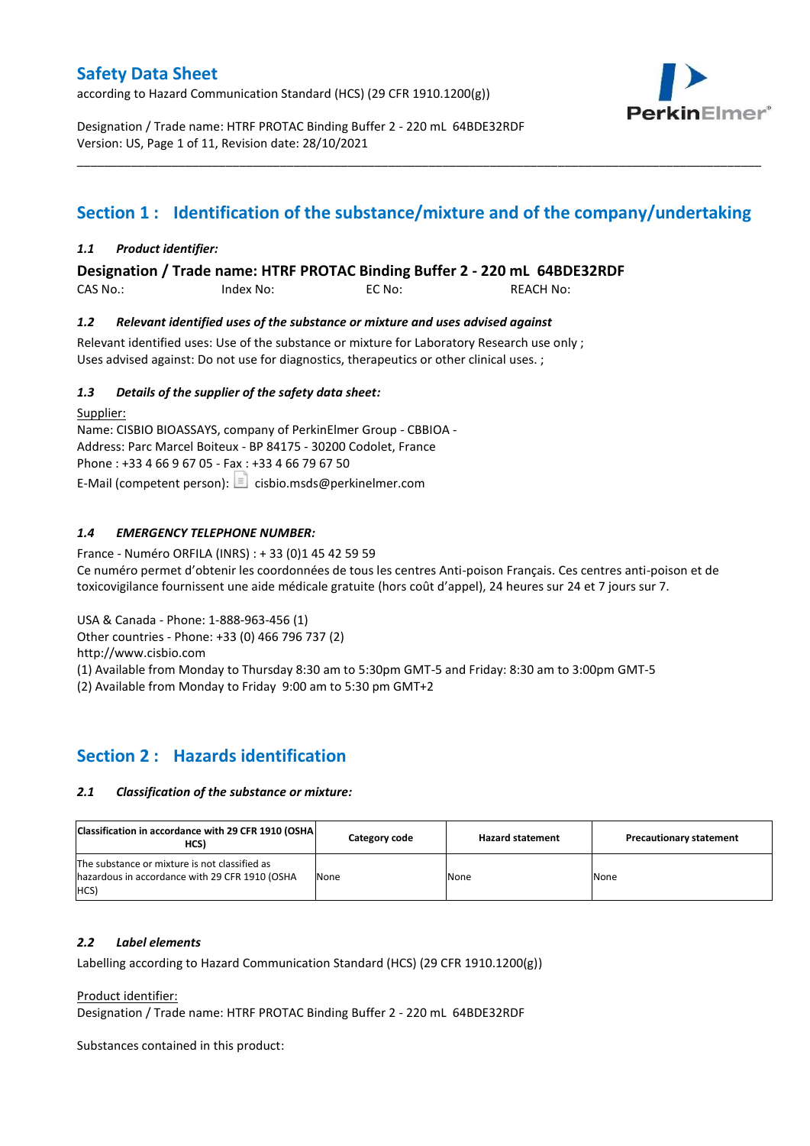according to Hazard Communication Standard (HCS) (29 CFR 1910.1200(g))



Designation / Trade name: HTRF PROTAC Binding Buffer 2 - 220 mL 64BDE32RDF Version: US, Page 1 of 11, Revision date: 28/10/2021

# **Section 1 : Identification of the substance/mixture and of the company/undertaking**

\_\_\_\_\_\_\_\_\_\_\_\_\_\_\_\_\_\_\_\_\_\_\_\_\_\_\_\_\_\_\_\_\_\_\_\_\_\_\_\_\_\_\_\_\_\_\_\_\_\_\_\_\_\_\_\_\_\_\_\_\_\_\_\_\_\_\_\_\_\_\_\_\_\_\_\_\_\_\_\_\_\_\_\_\_\_\_\_\_\_\_\_\_\_\_\_\_\_\_\_\_

## *1.1 Product identifier:*

**Designation / Trade name: HTRF PROTAC Binding Buffer 2 - 220 mL 64BDE32RDF** 

| CAS No.: | Index No: | EC No: | <b>REACH No:</b> |
|----------|-----------|--------|------------------|
|          |           |        |                  |

### *1.2 Relevant identified uses of the substance or mixture and uses advised against*

Relevant identified uses: Use of the substance or mixture for Laboratory Research use only ; Uses advised against: Do not use for diagnostics, therapeutics or other clinical uses. ;

### *1.3 Details of the supplier of the safety data sheet:*

Supplier: Name: CISBIO BIOASSAYS, company of PerkinElmer Group - CBBIOA - Address: Parc Marcel Boiteux - BP 84175 - 30200 Codolet, France Phone : +33 4 66 9 67 05 - Fax : +33 4 66 79 67 50 E-Mail (competent person):  $\boxed{\equiv}$  cisbio.msds@perkinelmer.com

## *1.4 EMERGENCY TELEPHONE NUMBER:*

France - Numéro ORFILA (INRS) : + 33 (0)1 45 42 59 59 Ce numéro permet d'obtenir les coordonnées de tous les centres Anti-poison Français. Ces centres anti-poison et de toxicovigilance fournissent une aide médicale gratuite (hors coût d'appel), 24 heures sur 24 et 7 jours sur 7.

USA & Canada - Phone: 1-888-963-456 (1)

Other countries - Phone: +33 (0) 466 796 737 (2)

http://www.cisbio.com

(1) Available from Monday to Thursday 8:30 am to 5:30pm GMT-5 and Friday: 8:30 am to 3:00pm GMT-5

(2) Available from Monday to Friday 9:00 am to 5:30 pm GMT+2

## **Section 2 : Hazards identification**

#### *2.1 Classification of the substance or mixture:*

| Classification in accordance with 29 CFR 1910 (OSHA)<br>HCS)                                            | Category code | <b>Hazard statement</b> | <b>Precautionary statement</b> |
|---------------------------------------------------------------------------------------------------------|---------------|-------------------------|--------------------------------|
| The substance or mixture is not classified as<br>hazardous in accordance with 29 CFR 1910 (OSHA<br>HCS) | None          | None                    | None                           |

#### *2.2 Label elements*

Labelling according to Hazard Communication Standard (HCS) (29 CFR 1910.1200(g))

Product identifier:

Designation / Trade name: HTRF PROTAC Binding Buffer 2 - 220 mL 64BDE32RDF

Substances contained in this product: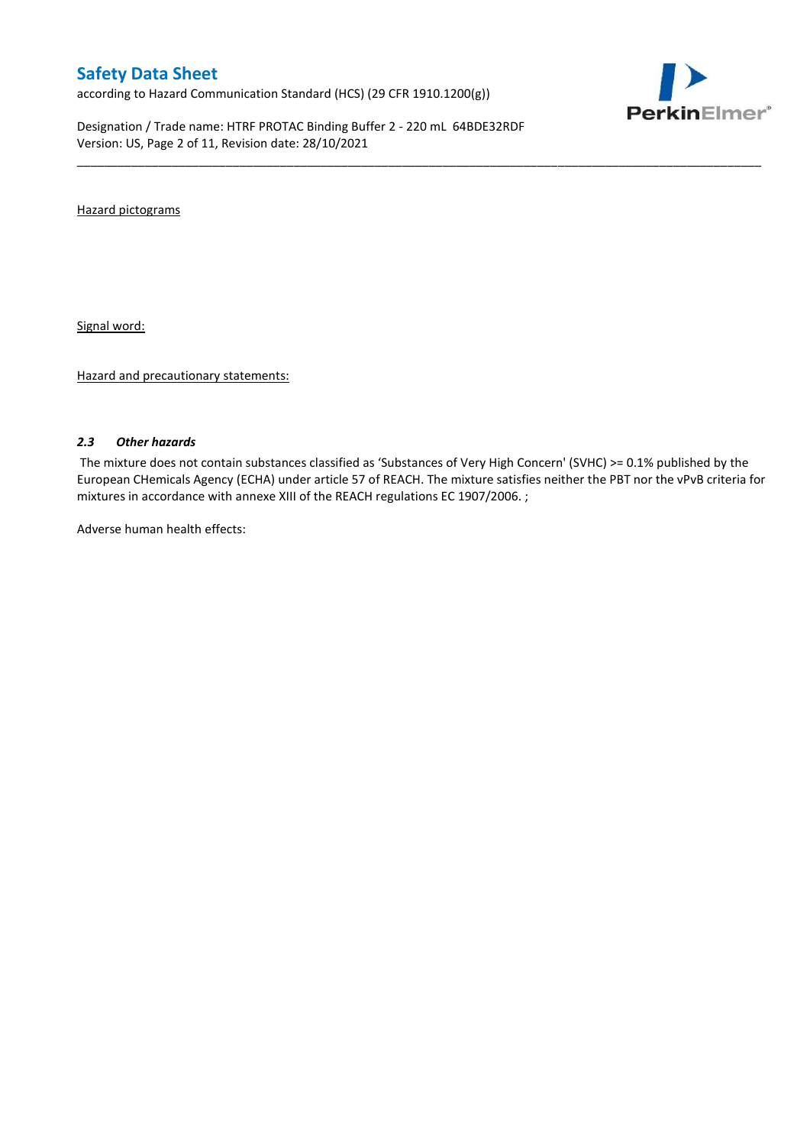according to Hazard Communication Standard (HCS) (29 CFR 1910.1200(g))

Designation / Trade name: HTRF PROTAC Binding Buffer 2 - 220 mL 64BDE32RDF Version: US, Page 2 of 11, Revision date: 28/10/2021



Hazard pictograms

Signal word:

Hazard and precautionary statements:

#### *2.3 Other hazards*

The mixture does not contain substances classified as 'Substances of Very High Concern' (SVHC) >= 0.1% published by the European CHemicals Agency (ECHA) under article 57 of REACH. The mixture satisfies neither the PBT nor the vPvB criteria for mixtures in accordance with annexe XIII of the REACH regulations EC 1907/2006. ;

\_\_\_\_\_\_\_\_\_\_\_\_\_\_\_\_\_\_\_\_\_\_\_\_\_\_\_\_\_\_\_\_\_\_\_\_\_\_\_\_\_\_\_\_\_\_\_\_\_\_\_\_\_\_\_\_\_\_\_\_\_\_\_\_\_\_\_\_\_\_\_\_\_\_\_\_\_\_\_\_\_\_\_\_\_\_\_\_\_\_\_\_\_\_\_\_\_\_\_\_\_

Adverse human health effects: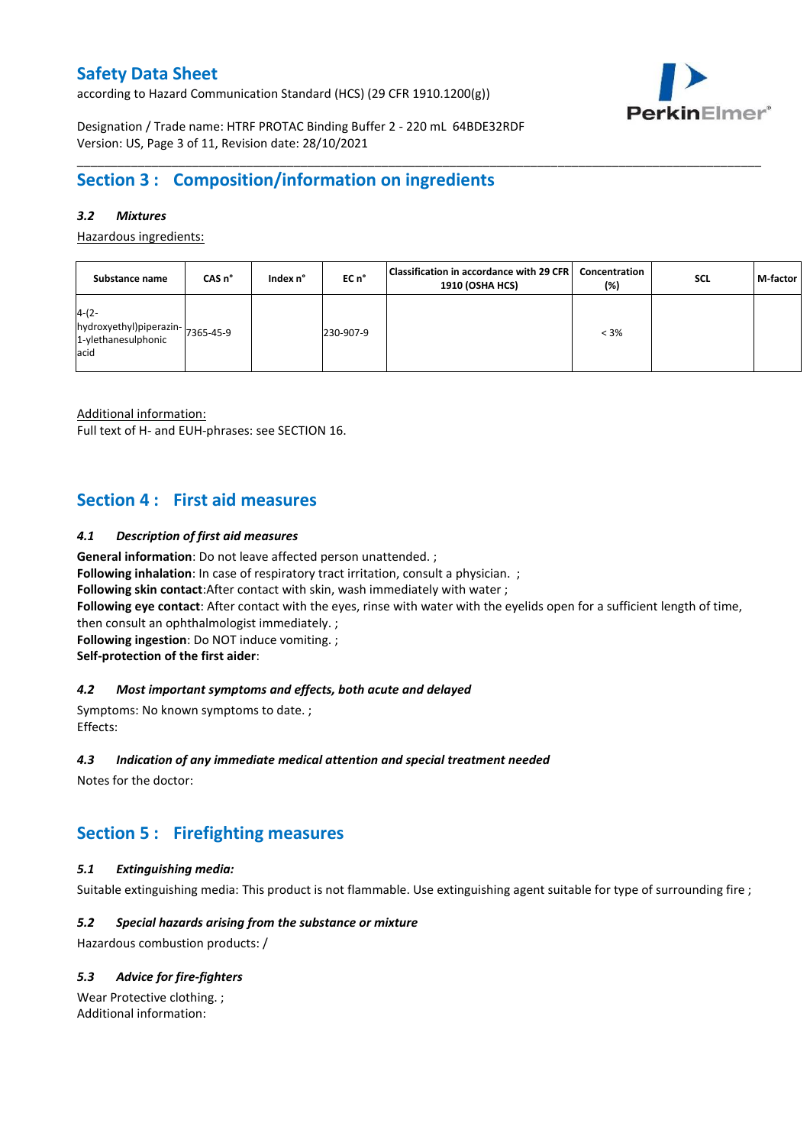according to Hazard Communication Standard (HCS) (29 CFR 1910.1200(g))



Designation / Trade name: HTRF PROTAC Binding Buffer 2 - 220 mL 64BDE32RDF Version: US, Page 3 of 11, Revision date: 28/10/2021

# **Section 3 : Composition/information on ingredients**

## *3.2 Mixtures*

Hazardous ingredients:

| Substance name                                                              | CAS <sub>n</sub> ° | Index n° | EC n°     | Classification in accordance with 29 CFR   Concentration<br>1910 (OSHA HCS) | (%)     | <b>SCL</b> | M-factor |
|-----------------------------------------------------------------------------|--------------------|----------|-----------|-----------------------------------------------------------------------------|---------|------------|----------|
| $4-(2-$<br>hydroxyethyl)piperazin-7365-45-9<br>1-ylethanesulphonic<br>lacid |                    |          | 230-907-9 |                                                                             | $< 3\%$ |            |          |

\_\_\_\_\_\_\_\_\_\_\_\_\_\_\_\_\_\_\_\_\_\_\_\_\_\_\_\_\_\_\_\_\_\_\_\_\_\_\_\_\_\_\_\_\_\_\_\_\_\_\_\_\_\_\_\_\_\_\_\_\_\_\_\_\_\_\_\_\_\_\_\_\_\_\_\_\_\_\_\_\_\_\_\_\_\_\_\_\_\_\_\_\_\_\_\_\_\_\_\_\_

Additional information:

Full text of H- and EUH-phrases: see SECTION 16.

# **Section 4 : First aid measures**

### *4.1 Description of first aid measures*

**General information**: Do not leave affected person unattended. ;

**Following inhalation**: In case of respiratory tract irritation, consult a physician. ;

**Following skin contact**:After contact with skin, wash immediately with water ;

**Following eye contact**: After contact with the eyes, rinse with water with the eyelids open for a sufficient length of time,

then consult an ophthalmologist immediately. ;

**Following ingestion**: Do NOT induce vomiting. ;

**Self-protection of the first aider**:

### *4.2 Most important symptoms and effects, both acute and delayed*

Symptoms: No known symptoms to date. ; Effects:

#### *4.3 Indication of any immediate medical attention and special treatment needed*

Notes for the doctor:

# **Section 5 : Firefighting measures**

## *5.1 Extinguishing media:*

Suitable extinguishing media: This product is not flammable. Use extinguishing agent suitable for type of surrounding fire ;

## *5.2 Special hazards arising from the substance or mixture*

Hazardous combustion products: /

## *5.3 Advice for fire-fighters*

Wear Protective clothing. ; Additional information: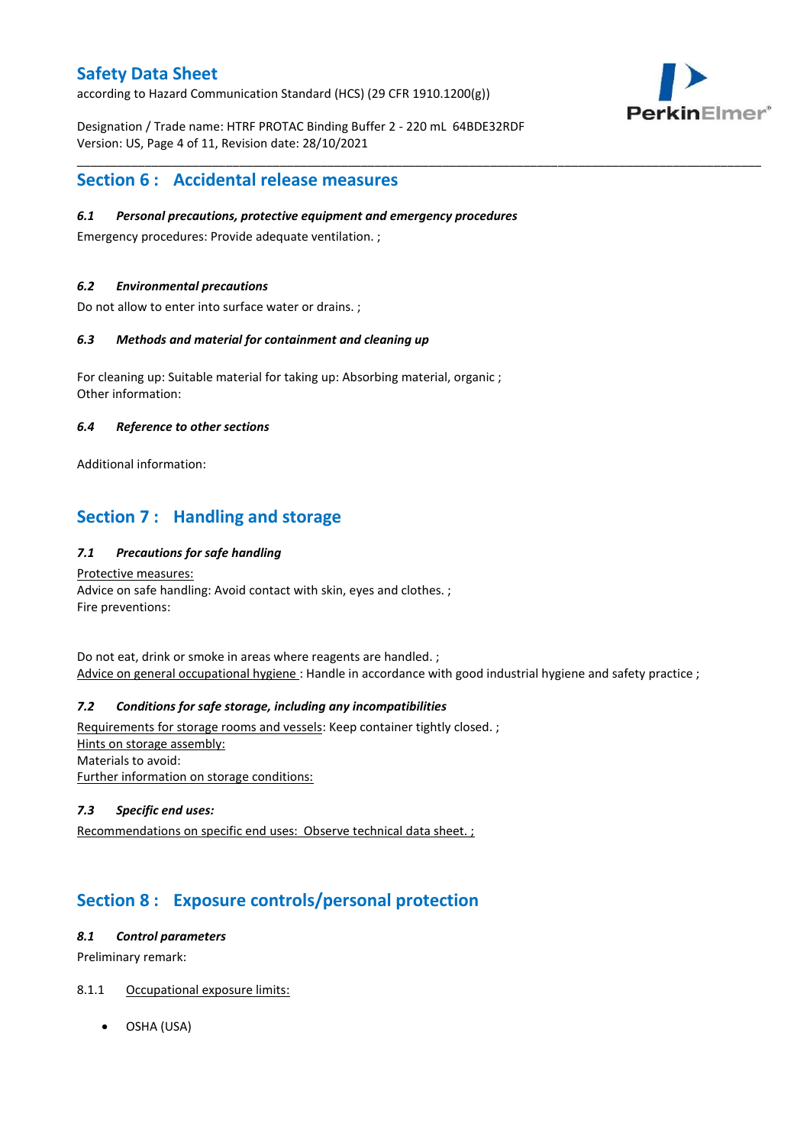according to Hazard Communication Standard (HCS) (29 CFR 1910.1200(g))

PerkinElmer®

Designation / Trade name: HTRF PROTAC Binding Buffer 2 - 220 mL 64BDE32RDF Version: US, Page 4 of 11, Revision date: 28/10/2021

\_\_\_\_\_\_\_\_\_\_\_\_\_\_\_\_\_\_\_\_\_\_\_\_\_\_\_\_\_\_\_\_\_\_\_\_\_\_\_\_\_\_\_\_\_\_\_\_\_\_\_\_\_\_\_\_\_\_\_\_\_\_\_\_\_\_\_\_\_\_\_\_\_\_\_\_\_\_\_\_\_\_\_\_\_\_\_\_\_\_\_\_\_\_\_\_\_\_\_\_\_

# **Section 6 : Accidental release measures**

### *6.1 Personal precautions, protective equipment and emergency procedures*

Emergency procedures: Provide adequate ventilation. ;

### *6.2 Environmental precautions*

Do not allow to enter into surface water or drains. ;

### *6.3 Methods and material for containment and cleaning up*

For cleaning up: Suitable material for taking up: Absorbing material, organic ; Other information:

### *6.4 Reference to other sections*

Additional information:

# **Section 7 : Handling and storage**

## *7.1 Precautions for safe handling*

Protective measures: Advice on safe handling: Avoid contact with skin, eyes and clothes. ; Fire preventions:

Do not eat, drink or smoke in areas where reagents are handled. ; Advice on general occupational hygiene: Handle in accordance with good industrial hygiene and safety practice ;

## *7.2 Conditions for safe storage, including any incompatibilities*

Requirements for storage rooms and vessels: Keep container tightly closed. ; Hints on storage assembly: Materials to avoid: Further information on storage conditions:

### *7.3 Specific end uses:*

Recommendations on specific end uses: Observe technical data sheet. ;

# **Section 8 : Exposure controls/personal protection**

### *8.1 Control parameters*

Preliminary remark:

## 8.1.1 Occupational exposure limits:

OSHA (USA)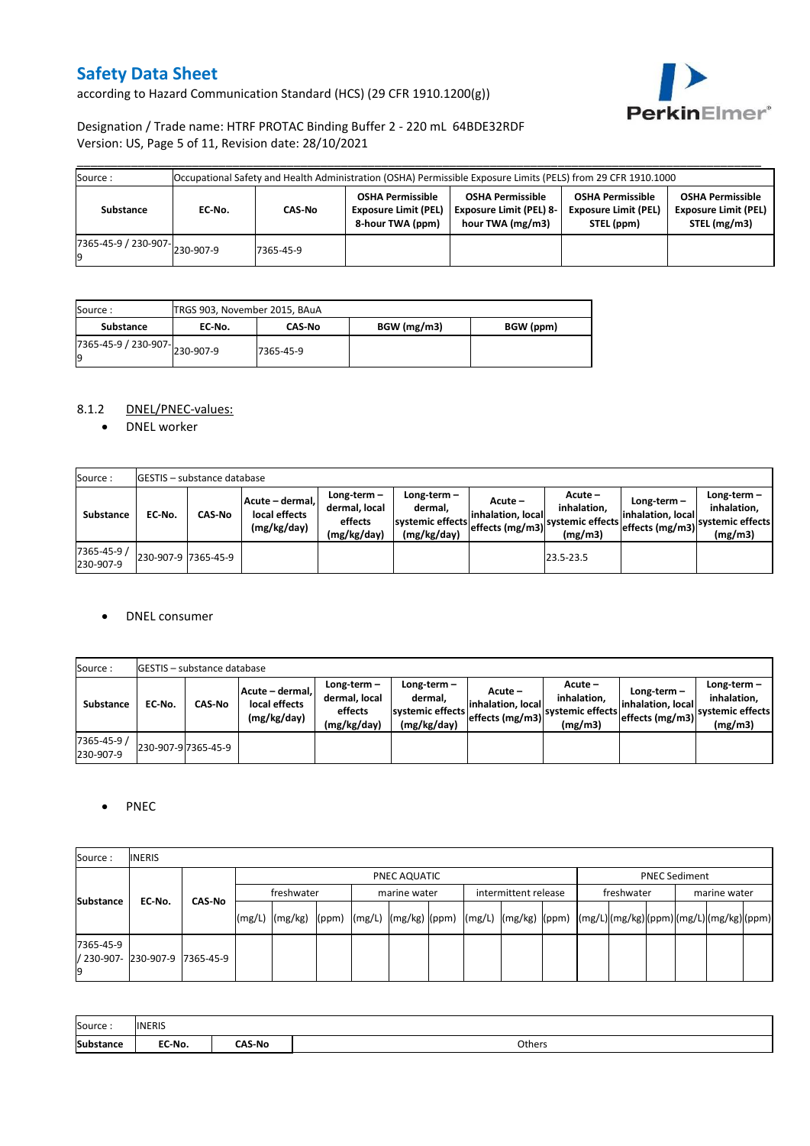according to Hazard Communication Standard (HCS) (29 CFR 1910.1200(g))



## Designation / Trade name: HTRF PROTAC Binding Buffer 2 - 220 mL 64BDE32RDF Version: US, Page 5 of 11, Revision date: 28/10/2021

| Source :                                       |        |           |                                                                            | Occupational Safety and Health Administration (OSHA) Permissible Exposure Limits (PELS) from 29 CFR 1910.1000 |                                                                      |                                                                        |
|------------------------------------------------|--------|-----------|----------------------------------------------------------------------------|---------------------------------------------------------------------------------------------------------------|----------------------------------------------------------------------|------------------------------------------------------------------------|
| Substance                                      | EC-No. | CAS-No    | <b>OSHA Permissible</b><br><b>Exposure Limit (PEL)</b><br>8-hour TWA (ppm) | <b>OSHA Permissible</b><br><b>Exposure Limit (PEL) 8-</b><br>hour TWA (mg/m3)                                 | <b>OSHA Permissible</b><br><b>Exposure Limit (PEL)</b><br>STEL (ppm) | <b>OSHA Permissible</b><br><b>Exposure Limit (PEL)</b><br>STEL (mg/m3) |
| $\frac{1}{17365-45-9}$ / 230-907-<br>230-907-9 |        | 7365-45-9 |                                                                            |                                                                                                               |                                                                      |                                                                        |

| Source:                             | TRGS 903, November 2015, BAuA |               |             |           |
|-------------------------------------|-------------------------------|---------------|-------------|-----------|
| Substance                           | EC No.                        | <b>CAS-No</b> | BGW (mg/m3) | BGW (ppm) |
| 7365-45-9 / 230-907-230-907-9<br>Ιg |                               | 7365-45-9     |             |           |

## 8.1.2 DNEL/PNEC-values:

• DNEL worker

| Source:                  |                     | <b>GESTIS</b> - substance database |                                                 |                                                       |                                                          |                                                  |                                                       |                                                         |                                                             |
|--------------------------|---------------------|------------------------------------|-------------------------------------------------|-------------------------------------------------------|----------------------------------------------------------|--------------------------------------------------|-------------------------------------------------------|---------------------------------------------------------|-------------------------------------------------------------|
| Substance                | EC No.              | <b>CAS-No</b>                      | Acute - dermal,<br>local effects<br>(mg/kg/day) | Long-term-<br>dermal, local<br>effects<br>(mg/kg/day) | Long-term-<br>dermal.<br>systemic effects<br>(mg/kg/day) | Acute –<br>linhalation. local<br>effects (mg/m3) | Acute –<br>inhalation.<br>systemic effects<br>(mg/m3) | Long-term $-$<br>linhalation. locall<br>effects (mg/m3) | $Long-term -$<br>inhalation,<br>systemic effects<br>(mg/m3) |
| 7365-45-9 /<br>230-907-9 | 230-907-9 7365-45-9 |                                    |                                                 |                                                       |                                                          |                                                  | 23.5-23.5                                             |                                                         |                                                             |

#### • DNEL consumer

| Source:                  |        | <b>IGESTIS</b> – substance database |                                                  |                                                          |                                                          |                                                  |                                                       |                                                     |                                                          |
|--------------------------|--------|-------------------------------------|--------------------------------------------------|----------------------------------------------------------|----------------------------------------------------------|--------------------------------------------------|-------------------------------------------------------|-----------------------------------------------------|----------------------------------------------------------|
| <b>Substance</b>         | EC No. | CAS No                              | Acute – dermal. <br>local effects<br>(mg/kg/day) | Long-term $-$<br>dermal, local<br>effects<br>(mg/kg/day) | Long-term-<br>dermal,<br>systemic effects<br>(mg/kg/day) | Acute –<br>linhalation. local<br>effects (mg/m3) | Acute -<br>inhalation.<br>systemic effects<br>(mg/m3) | Long-term-<br>linhalation. local<br>effects (mg/m3) | Long-term-<br>inhalation.<br>systemic effects<br>(mg/m3) |
| 7365-45-9 /<br>230-907-9 |        | 230-907-9 7365-45-9                 |                                                  |                                                          |                                                          |                                                  |                                                       |                                                     |                                                          |

## • PNEC

| Source:          | <b>INERIS</b>                  |        |                    |  |  |                                      |  |                                                                                                                                                                                                                                                                                                                                                                                                                                                                                                                       |  |              |                      |  |  |
|------------------|--------------------------------|--------|--------------------|--|--|--------------------------------------|--|-----------------------------------------------------------------------------------------------------------------------------------------------------------------------------------------------------------------------------------------------------------------------------------------------------------------------------------------------------------------------------------------------------------------------------------------------------------------------------------------------------------------------|--|--------------|----------------------|--|--|
| <b>Substance</b> |                                |        |                    |  |  | PNEC AQUATIC                         |  |                                                                                                                                                                                                                                                                                                                                                                                                                                                                                                                       |  |              | <b>PNEC Sediment</b> |  |  |
|                  | EC-No.                         | CAS-No | freshwater         |  |  | intermittent release<br>marine water |  | freshwater                                                                                                                                                                                                                                                                                                                                                                                                                                                                                                            |  | marine water |                      |  |  |
|                  |                                |        | $(mg/L)$ $(mg/kg)$ |  |  |                                      |  | $\lceil \frac{\text{pmm}}{\text{pmm}} \rceil \cdot \lceil \frac{\text{pmm}}{\text{pmm}} \rceil \cdot \lceil \frac{\text{pmm}}{\text{pmm}} \rceil \cdot \lceil \frac{\text{pmm}}{\text{pmm}} \rceil \cdot \lceil \frac{\text{pmm}}{\text{pmm}} \rceil \cdot \lceil \frac{\text{pmm}}{\text{pmm}} \rceil \cdot \lceil \frac{\text{pmm}}{\text{pmm}} \rceil \cdot \lceil \frac{\text{pmm}}{\text{pmm}} \rceil \cdot \lceil \frac{\text{pmm}}{\text{pmm}} \rceil \cdot \lceil \frac{\text{pmm}}{\text{pmm}} \rceil \cdot$ |  |              |                      |  |  |
| 7365-45-9<br>19  | / 230-907- 230-907-9 7365-45-9 |        |                    |  |  |                                      |  |                                                                                                                                                                                                                                                                                                                                                                                                                                                                                                                       |  |              |                      |  |  |

| Source:   | <b>INERIS</b> |               |        |
|-----------|---------------|---------------|--------|
| Substance | EC-No.        | <b>CAS-No</b> | Others |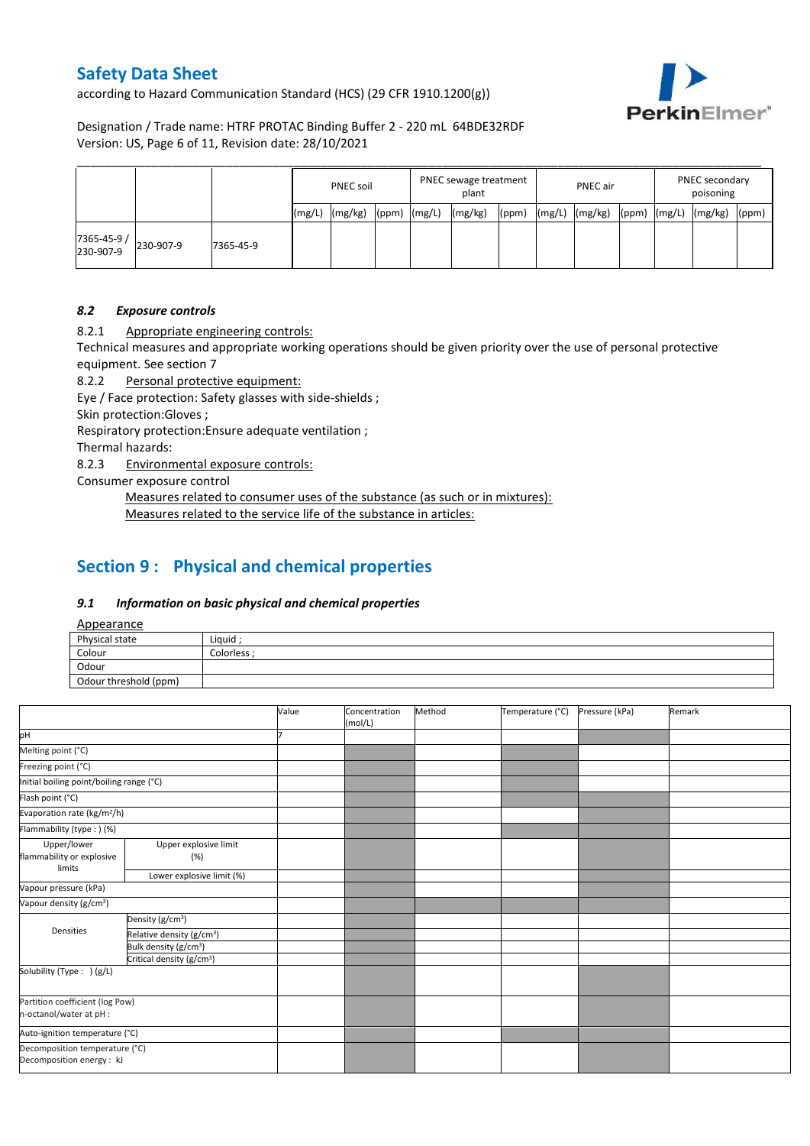according to Hazard Communication Standard (HCS) (29 CFR 1910.1200(g))



Designation / Trade name: HTRF PROTAC Binding Buffer 2 - 220 mL 64BDE32RDF Version: US, Page 6 of 11, Revision date: 28/10/2021

|                          |           |           |        | <b>PNEC soil</b> |       |        | PNEC sewage treatment<br>plant |       |        | PNEC air |       |        | PNEC secondary<br>poisoning |       |  |
|--------------------------|-----------|-----------|--------|------------------|-------|--------|--------------------------------|-------|--------|----------|-------|--------|-----------------------------|-------|--|
|                          |           |           | (mg/L) | (mg/kg)          | (ppm) | (mg/L) | (mg/kg)                        | (ppm) | (mg/L) | (mg/kg)  | (ppm) | (mg/L) | (mg/kg)                     | (ppm) |  |
| 7365-45-9 /<br>230-907-9 | 230-907-9 | 7365-45-9 |        |                  |       |        |                                |       |        |          |       |        |                             |       |  |

### *8.2 Exposure controls*

8.2.1 Appropriate engineering controls:

Technical measures and appropriate working operations should be given priority over the use of personal protective equipment. See section 7

8.2.2 Personal protective equipment:

Eye / Face protection: Safety glasses with side-shields ;

Skin protection:Gloves ;

Respiratory protection:Ensure adequate ventilation ;

Thermal hazards:

8.2.3 Environmental exposure controls:

Consumer exposure control

Measures related to consumer uses of the substance (as such or in mixtures): Measures related to the service life of the substance in articles:

# **Section 9 : Physical and chemical properties**

#### *9.1 Information on basic physical and chemical properties*

Appearance

| $-$                   |             |
|-----------------------|-------------|
| Physical state        | Liquid      |
| Colour                | Colorless : |
| Odour                 |             |
| Odour threshold (ppm) |             |

|                                                             |                                       | Value | Concentration<br>(mol/L) | Method | Temperature (°C) | Pressure (kPa) | Remark |
|-------------------------------------------------------------|---------------------------------------|-------|--------------------------|--------|------------------|----------------|--------|
| pH                                                          |                                       |       |                          |        |                  |                |        |
| Melting point (°C)                                          |                                       |       |                          |        |                  |                |        |
| Freezing point (°C)                                         |                                       |       |                          |        |                  |                |        |
| Initial boiling point/boiling range (°C)                    |                                       |       |                          |        |                  |                |        |
| Flash point (°C)                                            |                                       |       |                          |        |                  |                |        |
| Evaporation rate (kg/m <sup>2</sup> /h)                     |                                       |       |                          |        |                  |                |        |
| Flammability (type:) (%)                                    |                                       |       |                          |        |                  |                |        |
| Upper/lower<br>flammability or explosive<br>limits          | Upper explosive limit<br>(%)          |       |                          |        |                  |                |        |
|                                                             | Lower explosive limit (%)             |       |                          |        |                  |                |        |
| Vapour pressure (kPa)                                       |                                       |       |                          |        |                  |                |        |
| Vapour density (g/cm <sup>3</sup> )                         |                                       |       |                          |        |                  |                |        |
|                                                             | Density (g/cm <sup>3</sup> )          |       |                          |        |                  |                |        |
| Densities                                                   | Relative density (g/cm <sup>3</sup> ) |       |                          |        |                  |                |        |
|                                                             | Bulk density (g/cm <sup>3</sup> )     |       |                          |        |                  |                |        |
|                                                             | Critical density (g/cm <sup>3</sup> ) |       |                          |        |                  |                |        |
| Solubility (Type: ) (g/L)                                   |                                       |       |                          |        |                  |                |        |
| Partition coefficient (log Pow)                             |                                       |       |                          |        |                  |                |        |
| n-octanol/water at pH :                                     |                                       |       |                          |        |                  |                |        |
| Auto-ignition temperature (°C)                              |                                       |       |                          |        |                  |                |        |
| Decomposition temperature (°C)<br>Decomposition energy : kJ |                                       |       |                          |        |                  |                |        |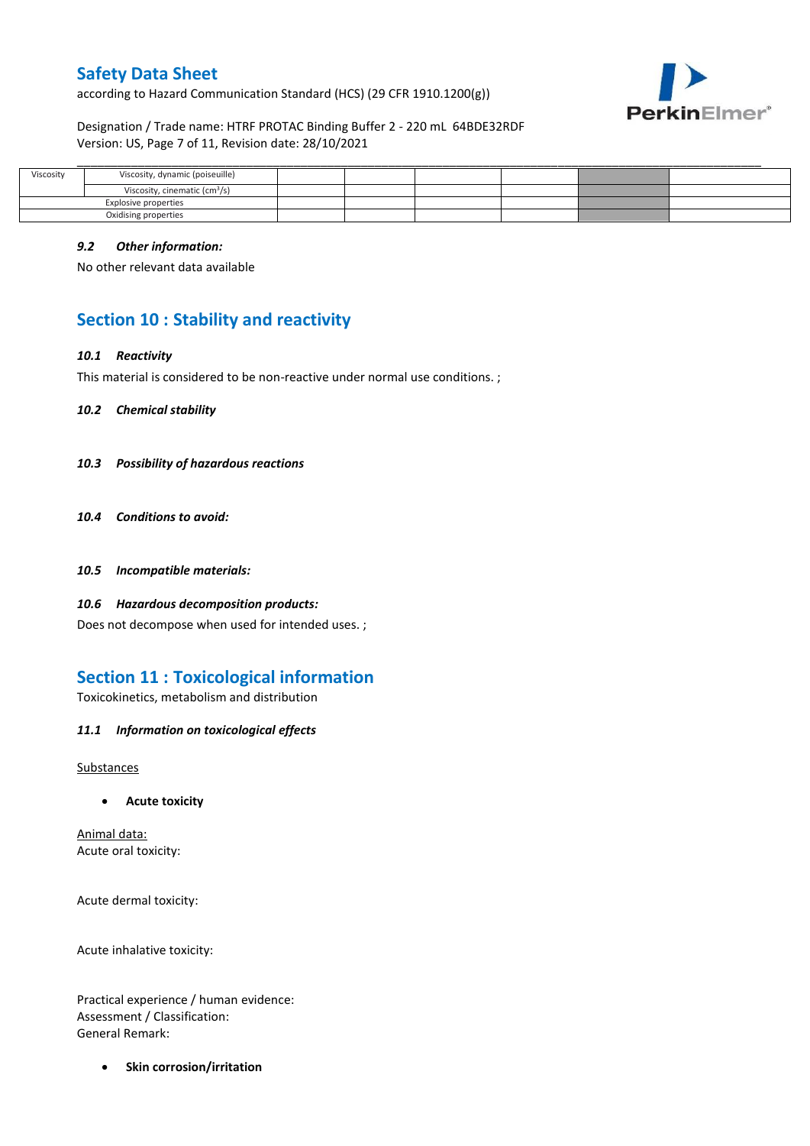according to Hazard Communication Standard (HCS) (29 CFR 1910.1200(g))



Designation / Trade name: HTRF PROTAC Binding Buffer 2 - 220 mL 64BDE32RDF Version: US, Page 7 of 11, Revision date: 28/10/2021

| Viscosity            | Viscosity, dynamic (poiseuille)           |  |  |  |
|----------------------|-------------------------------------------|--|--|--|
|                      | Viscosity, cinematic (cm <sup>3</sup> /s) |  |  |  |
| Explosive properties |                                           |  |  |  |
| Oxidising properties |                                           |  |  |  |

### *9.2 Other information:*

No other relevant data available

# **Section 10 : Stability and reactivity**

### *10.1 Reactivity*

This material is considered to be non-reactive under normal use conditions. ;

*10.2 Chemical stability*

- *10.3 Possibility of hazardous reactions*
- *10.4 Conditions to avoid:*
- *10.5 Incompatible materials:*
- *10.6 Hazardous decomposition products:*

Does not decompose when used for intended uses. ;

# **Section 11 : Toxicological information**

Toxicokinetics, metabolism and distribution

*11.1 Information on toxicological effects*

Substances

**Acute toxicity**

Animal data: Acute oral toxicity:

Acute dermal toxicity:

Acute inhalative toxicity:

Practical experience / human evidence: Assessment / Classification: General Remark:

**•** Skin corrosion/irritation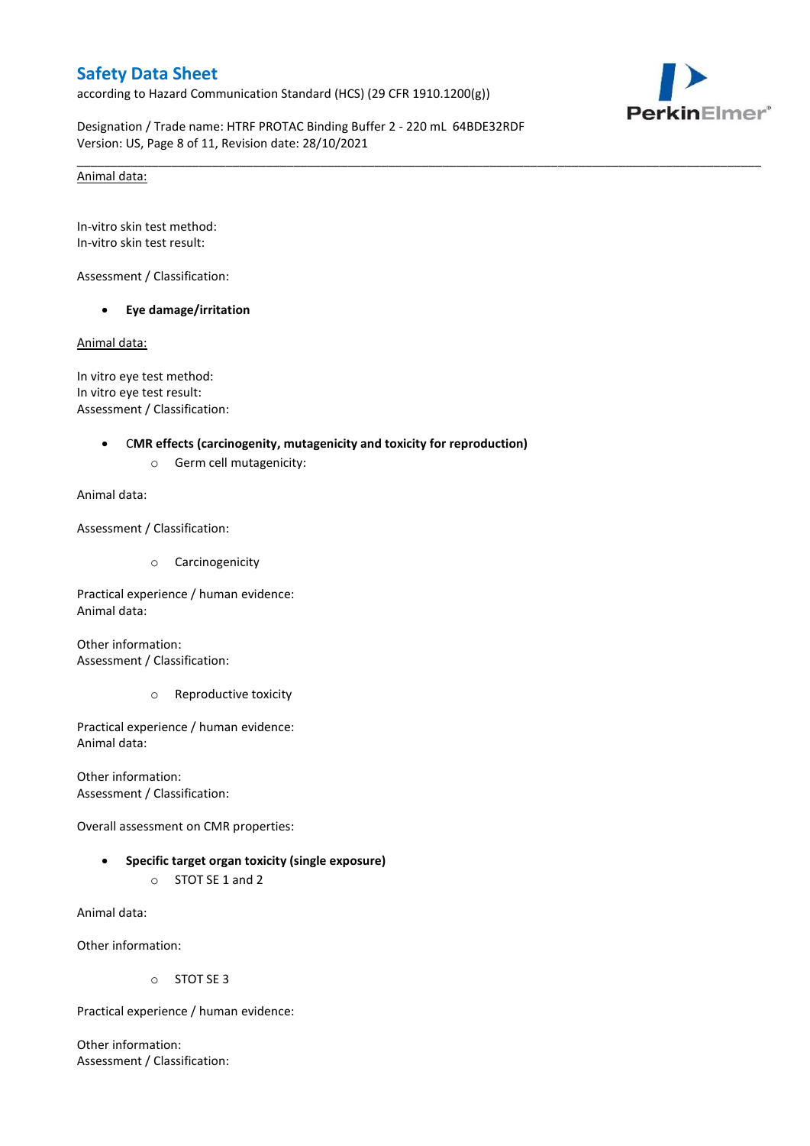according to Hazard Communication Standard (HCS) (29 CFR 1910.1200(g))



Designation / Trade name: HTRF PROTAC Binding Buffer 2 - 220 mL 64BDE32RDF Version: US, Page 8 of 11, Revision date: 28/10/2021

\_\_\_\_\_\_\_\_\_\_\_\_\_\_\_\_\_\_\_\_\_\_\_\_\_\_\_\_\_\_\_\_\_\_\_\_\_\_\_\_\_\_\_\_\_\_\_\_\_\_\_\_\_\_\_\_\_\_\_\_\_\_\_\_\_\_\_\_\_\_\_\_\_\_\_\_\_\_\_\_\_\_\_\_\_\_\_\_\_\_\_\_\_\_\_\_\_\_\_\_\_

### Animal data:

In-vitro skin test method: In-vitro skin test result:

Assessment / Classification:

**Eye damage/irritation**

Animal data:

In vitro eye test method: In vitro eye test result: Assessment / Classification:

#### C**MR effects (carcinogenity, mutagenicity and toxicity for reproduction)**

o Germ cell mutagenicity:

Animal data:

Assessment / Classification:

o Carcinogenicity

Practical experience / human evidence: Animal data:

Other information: Assessment / Classification:

o Reproductive toxicity

Practical experience / human evidence: Animal data:

Other information: Assessment / Classification:

Overall assessment on CMR properties:

 **Specific target organ toxicity (single exposure)** o STOT SE 1 and 2

Animal data:

Other information:

o STOT SE 3

Practical experience / human evidence:

Other information: Assessment / Classification: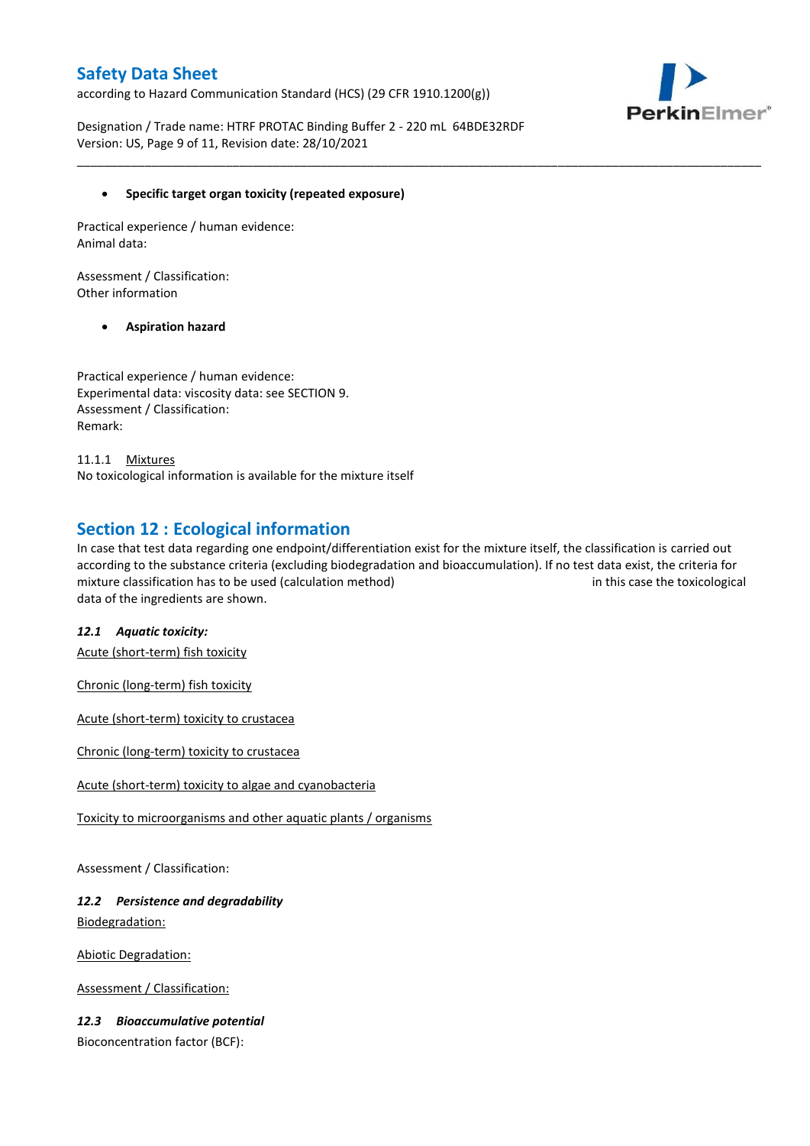according to Hazard Communication Standard (HCS) (29 CFR 1910.1200(g))



Designation / Trade name: HTRF PROTAC Binding Buffer 2 - 220 mL 64BDE32RDF Version: US, Page 9 of 11, Revision date: 28/10/2021

## **Specific target organ toxicity (repeated exposure)**

Practical experience / human evidence: Animal data:

Assessment / Classification: Other information

## **Aspiration hazard**

Practical experience / human evidence: Experimental data: viscosity data: see SECTION 9. Assessment / Classification: Remark:

11.1.1 Mixtures No toxicological information is available for the mixture itself

## **Section 12 : Ecological information**

In case that test data regarding one endpoint/differentiation exist for the mixture itself, the classification is carried out according to the substance criteria (excluding biodegradation and bioaccumulation). If no test data exist, the criteria for mixture classification has to be used (calculation method) in this case the toxicological data of the ingredients are shown.

\_\_\_\_\_\_\_\_\_\_\_\_\_\_\_\_\_\_\_\_\_\_\_\_\_\_\_\_\_\_\_\_\_\_\_\_\_\_\_\_\_\_\_\_\_\_\_\_\_\_\_\_\_\_\_\_\_\_\_\_\_\_\_\_\_\_\_\_\_\_\_\_\_\_\_\_\_\_\_\_\_\_\_\_\_\_\_\_\_\_\_\_\_\_\_\_\_\_\_\_\_

## *12.1 Aquatic toxicity:*

Acute (short-term) fish toxicity

Chronic (long-term) fish toxicity

Acute (short-term) toxicity to crustacea

Chronic (long-term) toxicity to crustacea

Acute (short-term) toxicity to algae and cyanobacteria

Toxicity to microorganisms and other aquatic plants / organisms

Assessment / Classification:

## *12.2 Persistence and degradability* Biodegradation:

Abiotic Degradation:

Assessment / Classification:

## *12.3 Bioaccumulative potential*

Bioconcentration factor (BCF):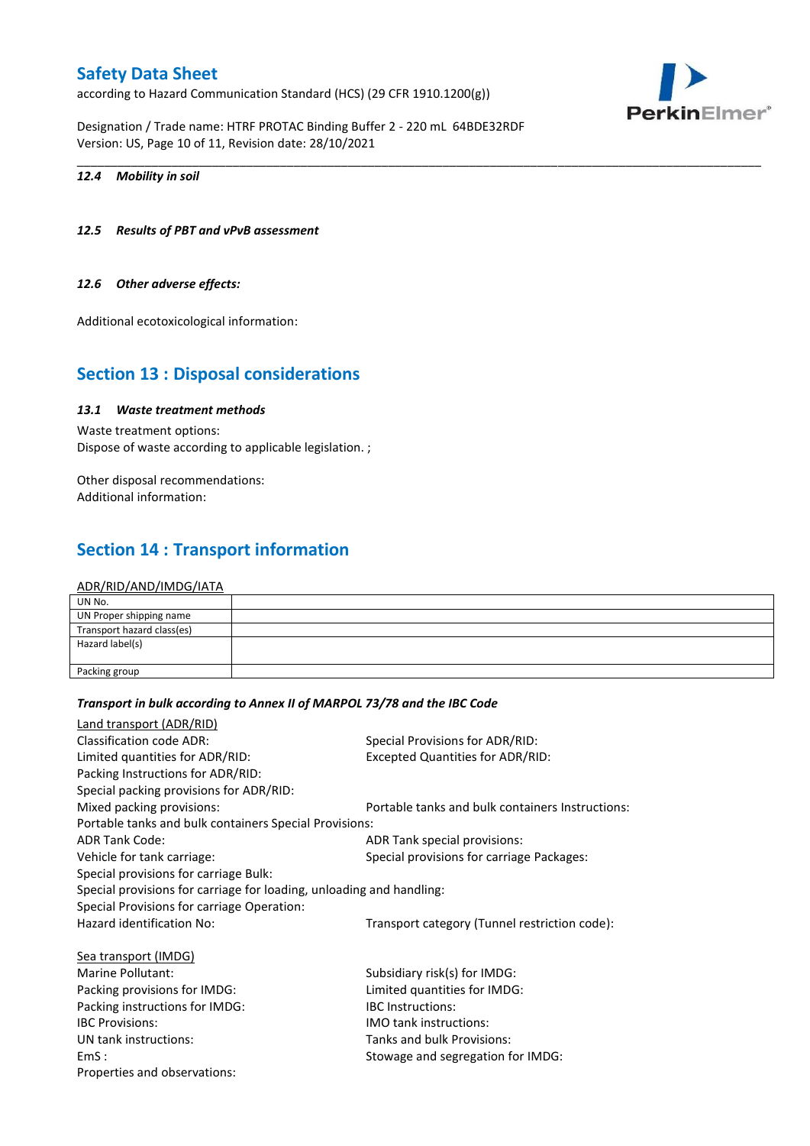according to Hazard Communication Standard (HCS) (29 CFR 1910.1200(g))

Designation / Trade name: HTRF PROTAC Binding Buffer 2 - 220 mL 64BDE32RDF Version: US, Page 10 of 11, Revision date: 28/10/2021



### *12.4 Mobility in soil*

### *12.5 Results of PBT and vPvB assessment*

#### *12.6 Other adverse effects:*

Additional ecotoxicological information:

## **Section 13 : Disposal considerations**

## *13.1 Waste treatment methods*

Waste treatment options: Dispose of waste according to applicable legislation. ;

Other disposal recommendations: Additional information:

# **Section 14 : Transport information**

#### ADR/RID/AND/IMDG/IATA

| UN No.                     |  |
|----------------------------|--|
| UN Proper shipping name    |  |
| Transport hazard class(es) |  |
| Hazard label(s)            |  |
|                            |  |
| Packing group              |  |

\_\_\_\_\_\_\_\_\_\_\_\_\_\_\_\_\_\_\_\_\_\_\_\_\_\_\_\_\_\_\_\_\_\_\_\_\_\_\_\_\_\_\_\_\_\_\_\_\_\_\_\_\_\_\_\_\_\_\_\_\_\_\_\_\_\_\_\_\_\_\_\_\_\_\_\_\_\_\_\_\_\_\_\_\_\_\_\_\_\_\_\_\_\_\_\_\_\_\_\_\_

#### *Transport in bulk according to Annex II of MARPOL 73/78 and the IBC Code*

| Land transport (ADR/RID)                                             |                                                  |  |  |
|----------------------------------------------------------------------|--------------------------------------------------|--|--|
| Classification code ADR:                                             | Special Provisions for ADR/RID:                  |  |  |
| Limited quantities for ADR/RID:                                      | <b>Excepted Quantities for ADR/RID:</b>          |  |  |
| Packing Instructions for ADR/RID:                                    |                                                  |  |  |
| Special packing provisions for ADR/RID:                              |                                                  |  |  |
| Mixed packing provisions:                                            | Portable tanks and bulk containers Instructions: |  |  |
| Portable tanks and bulk containers Special Provisions:               |                                                  |  |  |
| <b>ADR Tank Code:</b>                                                | ADR Tank special provisions:                     |  |  |
| Vehicle for tank carriage:                                           | Special provisions for carriage Packages:        |  |  |
| Special provisions for carriage Bulk:                                |                                                  |  |  |
| Special provisions for carriage for loading, unloading and handling: |                                                  |  |  |
| Special Provisions for carriage Operation:                           |                                                  |  |  |
| Hazard identification No:                                            | Transport category (Tunnel restriction code):    |  |  |
| Sea transport (IMDG)                                                 |                                                  |  |  |
| Marine Pollutant:                                                    | Subsidiary risk(s) for IMDG:                     |  |  |
| Packing provisions for IMDG:                                         | Limited quantities for IMDG:                     |  |  |
| Packing instructions for IMDG:                                       | <b>IBC</b> Instructions:                         |  |  |
| <b>IBC Provisions:</b>                                               | <b>IMO tank instructions:</b>                    |  |  |
| UN tank instructions:                                                | Tanks and bulk Provisions:                       |  |  |
| EmS:                                                                 | Stowage and segregation for IMDG:                |  |  |
| Properties and observations:                                         |                                                  |  |  |